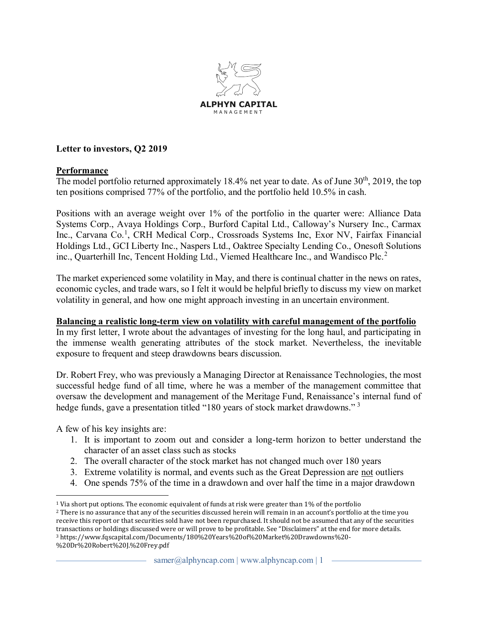

## **Letter to investors, Q2 2019**

#### **Performance**

The model portfolio returned approximately  $18.4\%$  net year to date. As of June  $30<sup>th</sup>$ ,  $2019$ , the top ten positions comprised 77% of the portfolio, and the portfolio held 10.5% in cash.

Positions with an average weight over 1% of the portfolio in the quarter were: Alliance Data Systems Corp., Avaya Holdings Corp., Burford Capital Ltd., Calloway's Nursery Inc., Carmax Inc., Carvana Co.<sup>1</sup>, CRH Medical Corp., Crossroads Systems Inc, Exor NV, Fairfax Financial Holdings Ltd., GCI Liberty Inc., Naspers Ltd., Oaktree Specialty Lending Co., Onesoft Solutions inc., Quarterhill Inc, Tencent Holding Ltd., Viemed Healthcare Inc., and Wandisco Plc.<sup>2</sup>

The market experienced some volatility in May, and there is continual chatter in the news on rates, economic cycles, and trade wars, so I felt it would be helpful briefly to discuss my view on market volatility in general, and how one might approach investing in an uncertain environment.

#### **Balancing a realistic long-term view on volatility with careful management of the portfolio**

In my first letter, I wrote about the advantages of investing for the long haul, and participating in the immense wealth generating attributes of the stock market. Nevertheless, the inevitable exposure to frequent and steep drawdowns bears discussion.

Dr. Robert Frey, who was previously a Managing Director at Renaissance Technologies, the most successful hedge fund of all time, where he was a member of the management committee that oversaw the development and management of the Meritage Fund, Renaissance's internal fund of hedge funds, gave a presentation titled "180 years of stock market drawdowns."<sup>3</sup>

A few of his key insights are:

- 1. It is important to zoom out and consider a long-term horizon to better understand the character of an asset class such as stocks
- 2. The overall character of the stock market has not changed much over 180 years
- 3. Extreme volatility is normal, and events such as the Great Depression are not outliers
- 4. One spends 75% of the time in a drawdown and over half the time in a major drawdown

<sup>1</sup> Via short put options. The economic equivalent of funds at risk were greater than 1% of the portfolio

<sup>&</sup>lt;sup>2</sup> There is no assurance that any of the securities discussed herein will remain in an account's portfolio at the time you receive this report or that securities sold have not been repurchased. It should not be assumed that any of the securities transactions or holdings discussed were or will prove to be profitable. See "Disclaimers" at the end for more details. <sup>3</sup> https://www.fqscapital.com/Documents/180%20Years%20of%20Market%20Drawdowns%20- %20Dr%20Robert%20J.%20Frey.pdf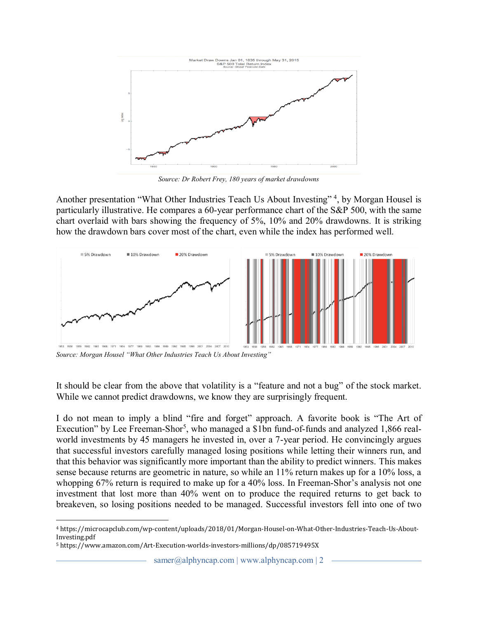

*Source: Dr Robert Frey, 180 years of market drawdowns* 8

Another presentation "What Other Industries Teach Us About Investing"<sup>4</sup>, by Morgan Housel is particularly illustrative. He compares a 60-year performance chart of the S&P 500, with the same chart overlaid with bars showing the frequency of 5%, 10% and 20% drawdowns. It is striking how the drawdown bars cover most of the chart, even while the index has performed well.



Source: Morgan Housel "What Other Industries Teach Us About Investing"

It should be clear from the above that volatility is a "feature and not a bug" of the stock market. While we cannot predict drawdowns, we know they are surprisingly frequent.

I do not mean to imply a blind "fire and forget" approach. A favorite book is "The Art of Execution" by Lee Freeman-Shor<sup>5</sup>, who managed a \$1bn fund-of-funds and analyzed 1,866 realworld investments by 45 managers he invested in, over a 7-year period. He convincingly argues that successful investors carefully managed losing positions while letting their winners run, and that this behavior was significantly more important than the ability to predict winners. This makes sense because returns are geometric in nature, so while an 11% return makes up for a 10% loss, a whopping  $67\%$  return is required to make up for a  $40\%$  loss. In Freeman-Shor's analysis not one investment that lost more than 40% went on to produce the required returns to get back to breakeven, so losing positions needed to be managed. Successful investors fell into one of two

samer@alphyncap.com | www.alphyncap.com | 2

<sup>4</sup> https://microcapclub.com/wp-content/uploads/2018/01/Morgan-Housel-on-What-Other-Industries-Teach-Us-About-Investing.pdf

<sup>5</sup> https://www.amazon.com/Art-Execution-worlds-investors-millions/dp/085719495X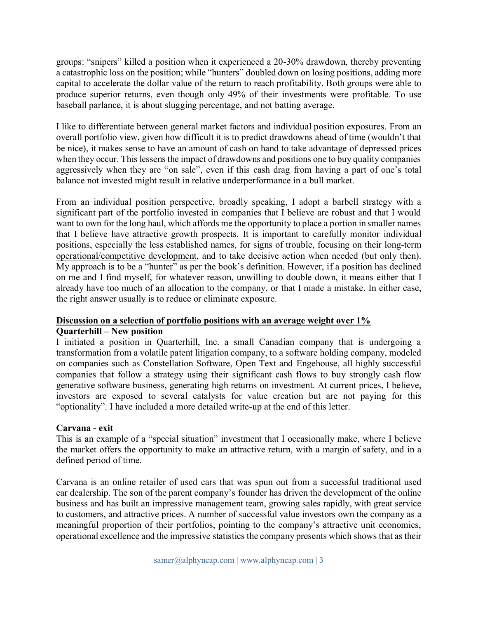groups: "snipers" killed a position when it experienced a 20-30% drawdown, thereby preventing a catastrophic loss on the position; while "hunters" doubled down on losing positions, adding more capital to accelerate the dollar value of the return to reach profitability. Both groups were able to produce superior returns, even though only 49% of their investments were profitable. To use baseball parlance, it is about slugging percentage, and not batting average.

I like to differentiate between general market factors and individual position exposures. From an overall portfolio view, given how difficult it is to predict drawdowns ahead of time (wouldn't that be nice), it makes sense to have an amount of cash on hand to take advantage of depressed prices when they occur. This lessens the impact of drawdowns and positions one to buy quality companies aggressively when they are "on sale", even if this cash drag from having a part of one's total balance not invested might result in relative underperformance in a bull market.

From an individual position perspective, broadly speaking, I adopt a barbell strategy with a significant part of the portfolio invested in companies that I believe are robust and that I would want to own for the long haul, which affords me the opportunity to place a portion in smaller names that I believe have attractive growth prospects. It is important to carefully monitor individual positions, especially the less established names, for signs of trouble, focusing on their long-term operational/competitive development, and to take decisive action when needed (but only then). My approach is to be a "hunter" as per the book's definition. However, if a position has declined on me and I find myself, for whatever reason, unwilling to double down, it means either that I already have too much of an allocation to the company, or that I made a mistake. In either case, the right answer usually is to reduce or eliminate exposure.

#### **Discussion on a selection of portfolio positions with an average weight over 1% Quarterhill – New position**

I initiated a position in Quarterhill, Inc. a small Canadian company that is undergoing a transformation from a volatile patent litigation company, to a software holding company, modeled on companies such as Constellation Software, Open Text and Engehouse, all highly successful companies that follow a strategy using their significant cash flows to buy strongly cash flow generative software business, generating high returns on investment. At current prices, I believe, investors are exposed to several catalysts for value creation but are not paying for this "optionality". I have included a more detailed write-up at the end of this letter.

## **Carvana - exit**

This is an example of a "special situation" investment that I occasionally make, where I believe the market offers the opportunity to make an attractive return, with a margin of safety, and in a defined period of time.

Carvana is an online retailer of used cars that was spun out from a successful traditional used car dealership. The son of the parent company's founder has driven the development of the online business and has built an impressive management team, growing sales rapidly, with great service to customers, and attractive prices. A number of successful value investors own the company as a meaningful proportion of their portfolios, pointing to the company's attractive unit economics, operational excellence and the impressive statistics the company presents which shows that as their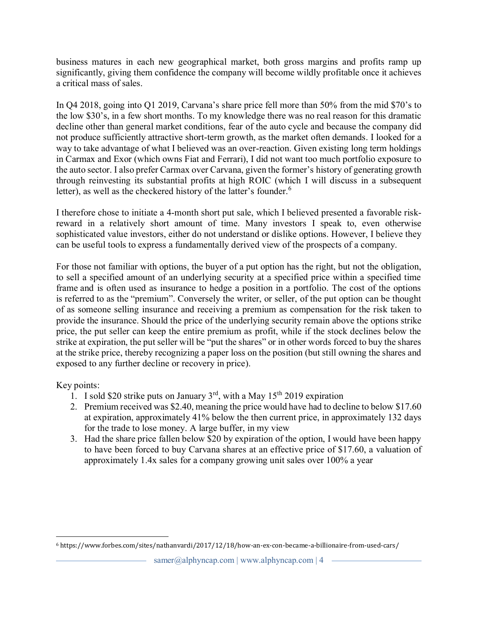business matures in each new geographical market, both gross margins and profits ramp up significantly, giving them confidence the company will become wildly profitable once it achieves a critical mass of sales.

In Q4 2018, going into Q1 2019, Carvana's share price fell more than  $50\%$  from the mid \$70's to the low \$30's, in a few short months. To my knowledge there was no real reason for this dramatic decline other than general market conditions, fear of the auto cycle and because the company did not produce sufficiently attractive short-term growth, as the market often demands. I looked for a way to take advantage of what I believed was an over-reaction. Given existing long term holdings in Carmax and Exor (which owns Fiat and Ferrari), I did not want too much portfolio exposure to the auto sector. I also prefer Carmax over Carvana, given the former's history of generating growth through reinvesting its substantial profits at high ROIC (which I will discuss in a subsequent letter), as well as the checkered history of the latter's founder.<sup>6</sup>

I therefore chose to initiate a 4-month short put sale, which I believed presented a favorable riskreward in a relatively short amount of time. Many investors I speak to, even otherwise sophisticated value investors, either do not understand or dislike options. However, I believe they can be useful tools to express a fundamentally derived view of the prospects of a company.

For those not familiar with options, the buyer of a put option has the right, but not the obligation, to sell a specified amount of an underlying security at a specified price within a specified time frame and is often used as insurance to hedge a position in a portfolio. The cost of the options is referred to as the "premium". Conversely the writer, or seller, of the put option can be thought of as someone selling insurance and receiving a premium as compensation for the risk taken to provide the insurance. Should the price of the underlying security remain above the options strike price, the put seller can keep the entire premium as profit, while if the stock declines below the strike at expiration, the put seller will be "put the shares" or in other words forced to buy the shares at the strike price, thereby recognizing a paper loss on the position (but still owning the shares and exposed to any further decline or recovery in price).

Key points:

- 1. I sold \$20 strike puts on January  $3^{rd}$ , with a May 15<sup>th</sup> 2019 expiration
- 2. Premium received was \$2.40, meaning the price would have had to decline to below \$17.60 at expiration, approximately 41% below the then current price, in approximately 132 days for the trade to lose money. A large buffer, in my view
- 3. Had the share price fallen below \$20 by expiration of the option, I would have been happy to have been forced to buy Carvana shares at an effective price of \$17.60, a valuation of approximately 1.4x sales for a company growing unit sales over 100% a year

<sup>6</sup> https://www.forbes.com/sites/nathanvardi/2017/12/18/how-an-ex-con-became-a-billionaire-from-used-cars/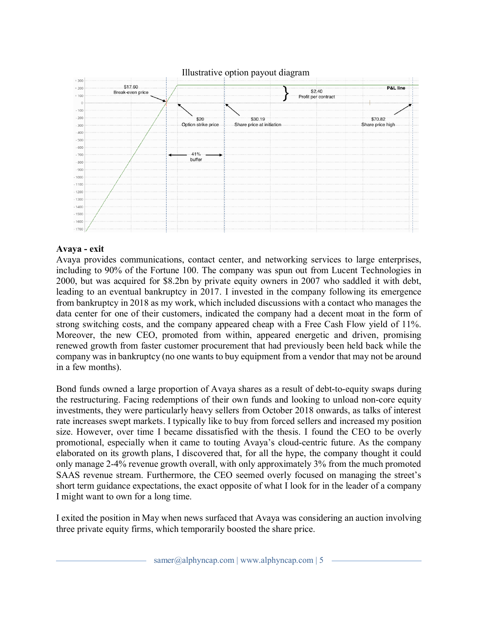

#### **Avaya - exit**

Avaya provides communications, contact center, and networking services to large enterprises, including to 90% of the Fortune 100. The company was spun out from Lucent Technologies in 2000, but was acquired for \$8.2bn by private equity owners in 2007 who saddled it with debt, leading to an eventual bankruptcy in 2017. I invested in the company following its emergence from bankruptcy in 2018 as my work, which included discussions with a contact who manages the data center for one of their customers, indicated the company had a decent moat in the form of strong switching costs, and the company appeared cheap with a Free Cash Flow yield of 11%. Moreover, the new CEO, promoted from within, appeared energetic and driven, promising renewed growth from faster customer procurement that had previously been held back while the company was in bankruptcy (no one wants to buy equipment from a vendor that may not be around in a few months).

Bond funds owned a large proportion of Avaya shares as a result of debt-to-equity swaps during the restructuring. Facing redemptions of their own funds and looking to unload non-core equity investments, they were particularly heavy sellers from October 2018 onwards, as talks of interest rate increases swept markets. I typically like to buy from forced sellers and increased my position size. However, over time I became dissatisfied with the thesis. I found the CEO to be overly promotional, especially when it came to touting Avaya's cloud-centric future. As the company elaborated on its growth plans, I discovered that, for all the hype, the company thought it could only manage 2-4% revenue growth overall, with only approximately 3% from the much promoted SAAS revenue stream. Furthermore, the CEO seemed overly focused on managing the street's short term guidance expectations, the exact opposite of what I look for in the leader of a company I might want to own for a long time.

I exited the position in May when news surfaced that Avaya was considering an auction involving three private equity firms, which temporarily boosted the share price.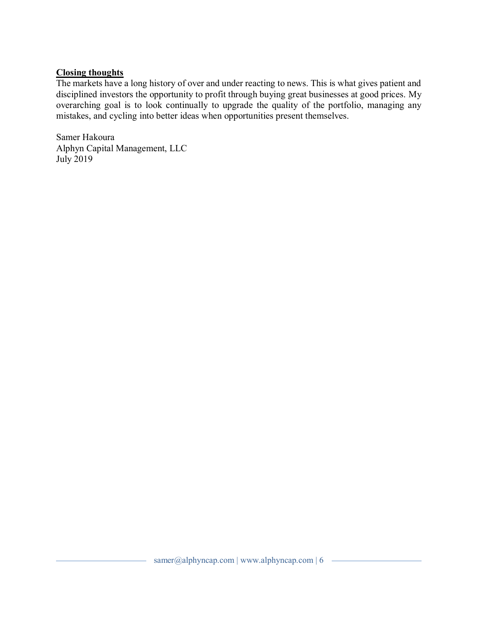#### **Closing thoughts**

The markets have a long history of over and under reacting to news. This is what gives patient and disciplined investors the opportunity to profit through buying great businesses at good prices. My overarching goal is to look continually to upgrade the quality of the portfolio, managing any mistakes, and cycling into better ideas when opportunities present themselves.

Samer Hakoura Alphyn Capital Management, LLC July 2019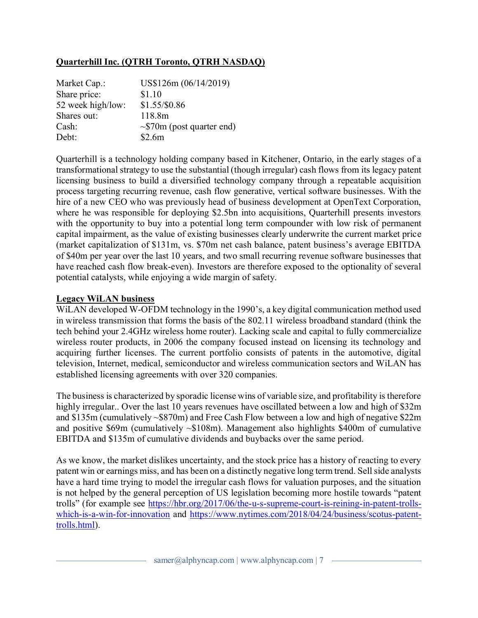## **Quarterhill Inc. (QTRH Toronto, QTRH NASDAQ)**

| Market Cap.:      | US\$126m (06/14/2019)           |
|-------------------|---------------------------------|
| Share price:      | \$1.10                          |
| 52 week high/low: | \$1.55/\$0.86                   |
| Shares out:       | 118.8m                          |
| Cash:             | $\sim$ \$70m (post quarter end) |
| Debt:             | \$2.6m                          |

Quarterhill is a technology holding company based in Kitchener, Ontario, in the early stages of a transformational strategy to use the substantial (though irregular) cash flows from its legacy patent licensing business to build a diversified technology company through a repeatable acquisition process targeting recurring revenue, cash flow generative, vertical software businesses. With the hire of a new CEO who was previously head of business development at OpenText Corporation, where he was responsible for deploying \$2.5bn into acquisitions, Quarterhill presents investors with the opportunity to buy into a potential long term compounder with low risk of permanent capital impairment, as the value of existing businesses clearly underwrite the current market price (market capitalization of  $$131m$ , vs.  $$70m$  net cash balance, patent business's average EBITDA of \$40m per year over the last 10 years, and two small recurring revenue software businesses that have reached cash flow break-even). Investors are therefore exposed to the optionality of several potential catalysts, while enjoying a wide margin of safety.

#### **Legacy WiLAN business**

WiLAN developed W-OFDM technology in the 1990's, a key digital communication method used in wireless transmission that forms the basis of the 802.11 wireless broadband standard (think the tech behind your 2.4GHz wireless home router). Lacking scale and capital to fully commercialize wireless router products, in 2006 the company focused instead on licensing its technology and acquiring further licenses. The current portfolio consists of patents in the automotive, digital television, Internet, medical, semiconductor and wireless communication sectors and WiLAN has established licensing agreements with over 320 companies.

The business is characterized by sporadic license wins of variable size, and profitability is therefore highly irregular.. Over the last 10 years revenues have oscillated between a low and high of \$32m and \$135m (cumulatively ~\$870m) and Free Cash Flow between a low and high of negative \$22m and positive \$69m (cumulatively ~\$108m). Management also highlights \$400m of cumulative EBITDA and \$135m of cumulative dividends and buybacks over the same period.

As we know, the market dislikes uncertainty, and the stock price has a history of reacting to every patent win or earnings miss, and has been on a distinctly negative long term trend. Sell side analysts have a hard time trying to model the irregular cash flows for valuation purposes, and the situation is not helped by the general perception of US legislation becoming more hostile towards "patent trolls" (for example see [https://hbr.org/2017/06/the-u-s-supreme-court-is-reining-in-patent-trolls](https://hbr.org/2017/06/the-u-s-supreme-court-is-reining-in-patent-trolls-which-is-a-win-for-innovation)[which-is-a-win-for-innovation](https://hbr.org/2017/06/the-u-s-supreme-court-is-reining-in-patent-trolls-which-is-a-win-for-innovation) and [https://www.nytimes.com/2018/04/24/business/scotus-patent](https://www.nytimes.com/2018/04/24/business/scotus-patent-trolls.html)[trolls.html\)](https://www.nytimes.com/2018/04/24/business/scotus-patent-trolls.html).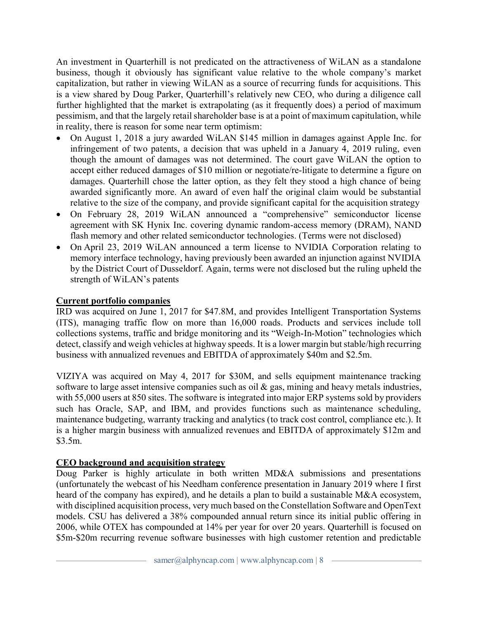An investment in Quarterhill is not predicated on the attractiveness of WiLAN as a standalone business, though it obviously has significant value relative to the whole company's market capitalization, but rather in viewing WiLAN as a source of recurring funds for acquisitions. This is a view shared by Doug Parker, Quarterhill's relatively new CEO, who during a diligence call further highlighted that the market is extrapolating (as it frequently does) a period of maximum pessimism, and that the largely retail shareholder base is at a point of maximum capitulation, while in reality, there is reason for some near term optimism:

- x On August 1, 2018 a jury awarded WiLAN \$145 million in damages against Apple Inc. for infringement of two patents, a decision that was upheld in a January 4, 2019 ruling, even though the amount of damages was not determined. The court gave WiLAN the option to accept either reduced damages of \$10 million or negotiate/re-litigate to determine a figure on damages. Quarterhill chose the latter option, as they felt they stood a high chance of being awarded significantly more. An award of even half the original claim would be substantial relative to the size of the company, and provide significant capital for the acquisition strategy
- x On February 28, 2019 WiLAN announced a "comprehensive" semiconductor license agreement with SK Hynix Inc. covering dynamic random-access memory (DRAM), NAND flash memory and other related semiconductor technologies. (Terms were not disclosed)
- On April 23, 2019 WiLAN announced a term license to NVIDIA Corporation relating to memory interface technology, having previously been awarded an injunction against NVIDIA by the District Court of Dusseldorf. Again, terms were not disclosed but the ruling upheld the strength of WiLAN's patents

## **Current portfolio companies**

IRD was acquired on June 1, 2017 for \$47.8M, and provides Intelligent Transportation Systems (ITS), managing traffic flow on more than 16,000 roads. Products and services include toll collections systems, traffic and bridge monitoring and its "Weigh-In-Motion" technologies which detect, classify and weigh vehicles at highway speeds. It is a lower margin but stable/high recurring business with annualized revenues and EBITDA of approximately \$40m and \$2.5m.

VIZIYA was acquired on May 4, 2017 for \$30M, and sells equipment maintenance tracking software to large asset intensive companies such as oil  $\&$  gas, mining and heavy metals industries, with 55,000 users at 850 sites. The software is integrated into major ERP systems sold by providers such has Oracle, SAP, and IBM, and provides functions such as maintenance scheduling, maintenance budgeting, warranty tracking and analytics (to track cost control, compliance etc.). It is a higher margin business with annualized revenues and EBITDA of approximately \$12m and \$3.5m.

## **CEO background and acquisition strategy**

Doug Parker is highly articulate in both written MD&A submissions and presentations (unfortunately the webcast of his Needham conference presentation in January 2019 where I first heard of the company has expired), and he details a plan to build a sustainable M&A ecosystem, with disciplined acquisition process, very much based on the Constellation Software and OpenText models. CSU has delivered a 38% compounded annual return since its initial public offering in 2006, while OTEX has compounded at 14% per year for over 20 years. Quarterhill is focused on \$5m-\$20m recurring revenue software businesses with high customer retention and predictable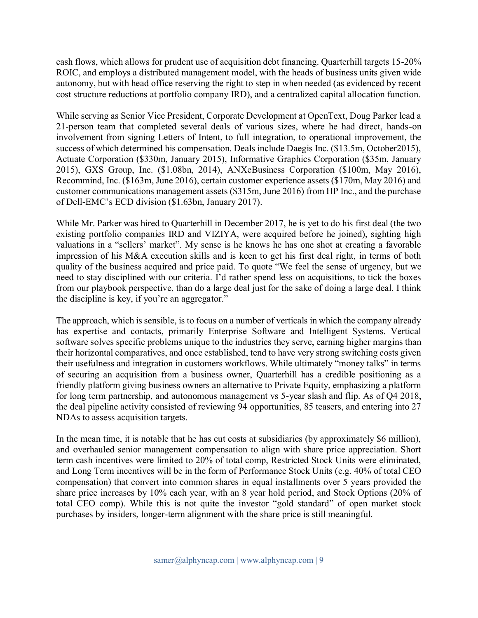cash flows, which allows for prudent use of acquisition debt financing. Quarterhill targets 15-20% ROIC, and employs a distributed management model, with the heads of business units given wide autonomy, but with head office reserving the right to step in when needed (as evidenced by recent cost structure reductions at portfolio company IRD), and a centralized capital allocation function.

While serving as Senior Vice President, Corporate Development at OpenText, Doug Parker lead a 21-person team that completed several deals of various sizes, where he had direct, hands-on involvement from signing Letters of Intent, to full integration, to operational improvement, the success of which determined his compensation. Deals include Daegis Inc. (\$13.5m, October2015), Actuate Corporation (\$330m, January 2015), Informative Graphics Corporation (\$35m, January 2015), GXS Group, Inc. (\$1.08bn, 2014), ANXeBusiness Corporation (\$100m, May 2016), Recommind, Inc. (\$163m, June 2016), certain customer experience assets (\$170m, May 2016) and customer communications management assets (\$315m, June 2016) from HP Inc., and the purchase of Dell-EMC's ECD division (\$1.63bn, January 2017).

While Mr. Parker was hired to Quarterhill in December 2017, he is yet to do his first deal (the two existing portfolio companies IRD and VIZIYA, were acquired before he joined), sighting high valuations in a "sellers' market". My sense is he knows he has one shot at creating a favorable impression of his M&A execution skills and is keen to get his first deal right, in terms of both quality of the business acquired and price paid. To quote "We feel the sense of urgency, but we need to stay disciplined with our criteria. I'd rather spend less on acquisitions, to tick the boxes from our playbook perspective, than do a large deal just for the sake of doing a large deal. I think the discipline is key, if you're an aggregator."

The approach, which is sensible, is to focus on a number of verticals in which the company already has expertise and contacts, primarily Enterprise Software and Intelligent Systems. Vertical software solves specific problems unique to the industries they serve, earning higher margins than their horizontal comparatives, and once established, tend to have very strong switching costs given their usefulness and integration in customers workflows. While ultimately "money talks" in terms of securing an acquisition from a business owner, Quarterhill has a credible positioning as a friendly platform giving business owners an alternative to Private Equity, emphasizing a platform for long term partnership, and autonomous management vs 5-year slash and flip. As of Q4 2018, the deal pipeline activity consisted of reviewing 94 opportunities, 85 teasers, and entering into 27 NDAs to assess acquisition targets.

In the mean time, it is notable that he has cut costs at subsidiaries (by approximately \$6 million), and overhauled senior management compensation to align with share price appreciation. Short term cash incentives were limited to 20% of total comp, Restricted Stock Units were eliminated, and Long Term incentives will be in the form of Performance Stock Units (e.g. 40% of total CEO compensation) that convert into common shares in equal installments over 5 years provided the share price increases by 10% each year, with an 8 year hold period, and Stock Options (20% of total CEO comp). While this is not quite the investor "gold standard" of open market stock purchases by insiders, longer-term alignment with the share price is still meaningful.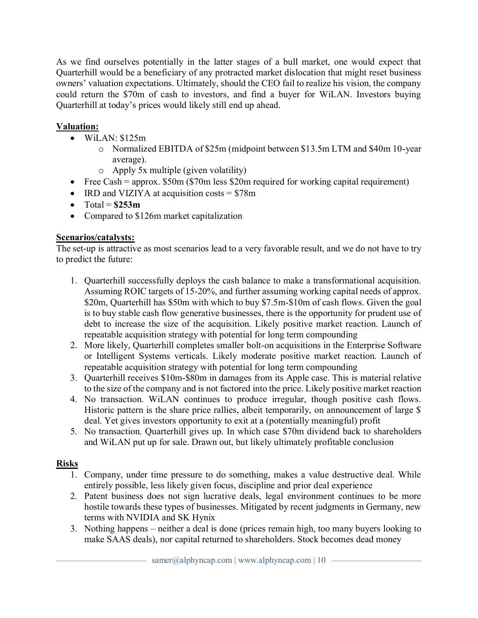As we find ourselves potentially in the latter stages of a bull market, one would expect that Quarterhill would be a beneficiary of any protracted market dislocation that might reset business owners' valuation expectations. Ultimately, should the CEO fail to realize his vision, the company could return the \$70m of cash to investors, and find a buyer for WiLAN. Investors buying Quarterhill at today's prices would likely still end up ahead.

# **Valuation:**

- $\bullet$  WiLAN: \$125m
	- o Normalized EBITDA of \$25m (midpoint between \$13.5m LTM and \$40m 10-year average).
	- o Apply 5x multiple (given volatility)
- Free Cash = approx.  $$50m$  (\$70m less \$20m required for working capital requirement)
- IRD and VIZIYA at acquisition costs  $= $78m$
- $\bullet$  Total =  $$253m$
- Compared to  $$126m$  market capitalization

# **Scenarios/catalysts:**

The set-up is attractive as most scenarios lead to a very favorable result, and we do not have to try to predict the future:

- 1. Quarterhill successfully deploys the cash balance to make a transformational acquisition. Assuming ROIC targets of 15-20%, and further assuming working capital needs of approx. \$20m, Quarterhill has \$50m with which to buy \$7.5m-\$10m of cash flows. Given the goal is to buy stable cash flow generative businesses, there is the opportunity for prudent use of debt to increase the size of the acquisition. Likely positive market reaction. Launch of repeatable acquisition strategy with potential for long term compounding
- 2. More likely, Quarterhill completes smaller bolt-on acquisitions in the Enterprise Software or Intelligent Systems verticals. Likely moderate positive market reaction. Launch of repeatable acquisition strategy with potential for long term compounding
- 3. Quarterhill receives \$10m-\$80m in damages from its Apple case. This is material relative to the size of the company and is not factored into the price. Likely positive market reaction
- 4. No transaction. WiLAN continues to produce irregular, though positive cash flows. Historic pattern is the share price rallies, albeit temporarily, on announcement of large \$ deal. Yet gives investors opportunity to exit at a (potentially meaningful) profit
- 5. No transaction. Quarterhill gives up. In which case \$70m dividend back to shareholders and WiLAN put up for sale. Drawn out, but likely ultimately profitable conclusion

# **Risks**

- 1. Company, under time pressure to do something, makes a value destructive deal. While entirely possible, less likely given focus, discipline and prior deal experience
- 2. Patent business does not sign lucrative deals, legal environment continues to be more hostile towards these types of businesses. Mitigated by recent judgments in Germany, new terms with NVIDIA and SK Hynix
- 3. Nothing happens neither a deal is done (prices remain high, too many buyers looking to make SAAS deals), nor capital returned to shareholders. Stock becomes dead money